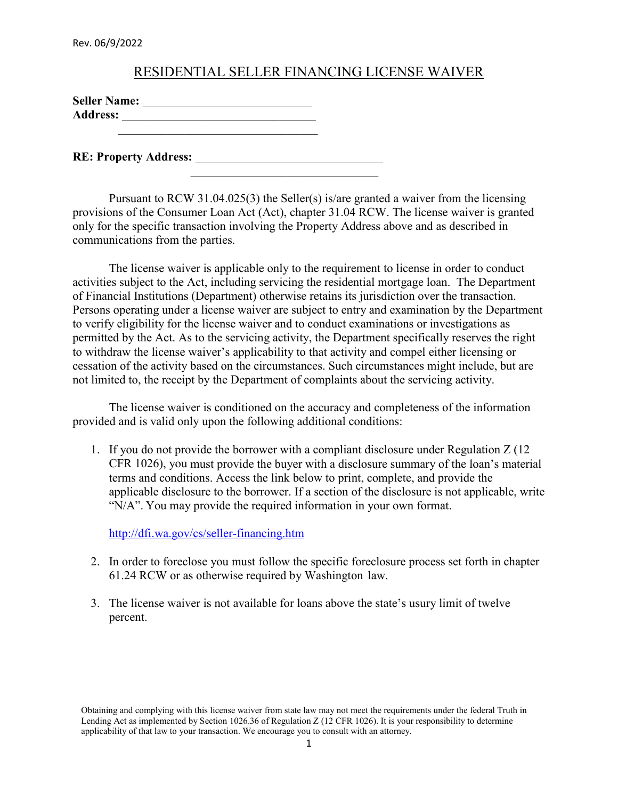Rev. 06/9/2022

## RESIDENTIAL SELLER FINANCING LICENSE WAIVER

| <b>Seller Name:</b> |  |
|---------------------|--|
| <b>Address:</b>     |  |
|                     |  |

 $\mathcal{L}_\mathcal{L}$  , which is a set of the set of the set of the set of the set of the set of the set of the set of the set of the set of the set of the set of the set of the set of the set of the set of the set of the set of

**RE: Property Address:** 

Pursuant to RCW 31.04.025(3) the Seller(s) is/are granted a waiver from the licensing provisions of the Consumer Loan Act (Act), chapter 31.04 RCW. The license waiver is granted only for the specific transaction involving the Property Address above and as described in communications from the parties.

The license waiver is applicable only to the requirement to license in order to conduct activities subject to the Act, including servicing the residential mortgage loan. The Department of Financial Institutions (Department) otherwise retains its jurisdiction over the transaction. Persons operating under a license waiver are subject to entry and examination by the Department to verify eligibility for the license waiver and to conduct examinations or investigations as permitted by the Act. As to the servicing activity, the Department specifically reserves the right to withdraw the license waiver's applicability to that activity and compel either licensing or cessation of the activity based on the circumstances. Such circumstances might include, but are not limited to, the receipt by the Department of complaints about the servicing activity.

The license waiver is conditioned on the accuracy and completeness of the information provided and is valid only upon the following additional conditions:

1. If you do not provide the borrower with a compliant disclosure under Regulation Z (12 CFR 1026), you must provide the buyer with a disclosure summary of the loan's material terms and conditions. Access the link below to print, complete, and provide the applicable disclosure to the borrower. If a section of the disclosure is not applicable, write "N/A". You may provide the required information in your own format.

<http://dfi.wa.gov/cs/seller-financing.htm>

- 2. In order to foreclose you must follow the specific foreclosure process set forth in chapter 61.24 RCW or as otherwise required by Washington law.
- 3. The license waiver is not available for loans above the state's usury limit of twelve percent.

Obtaining and complying with this license waiver from state law may not meet the requirements under the federal Truth in Lending Act as implemented by Section 1026.36 of Regulation Z (12 CFR 1026). It is your responsibility to determine applicability of that law to your transaction. We encourage you to consult with an attorney.